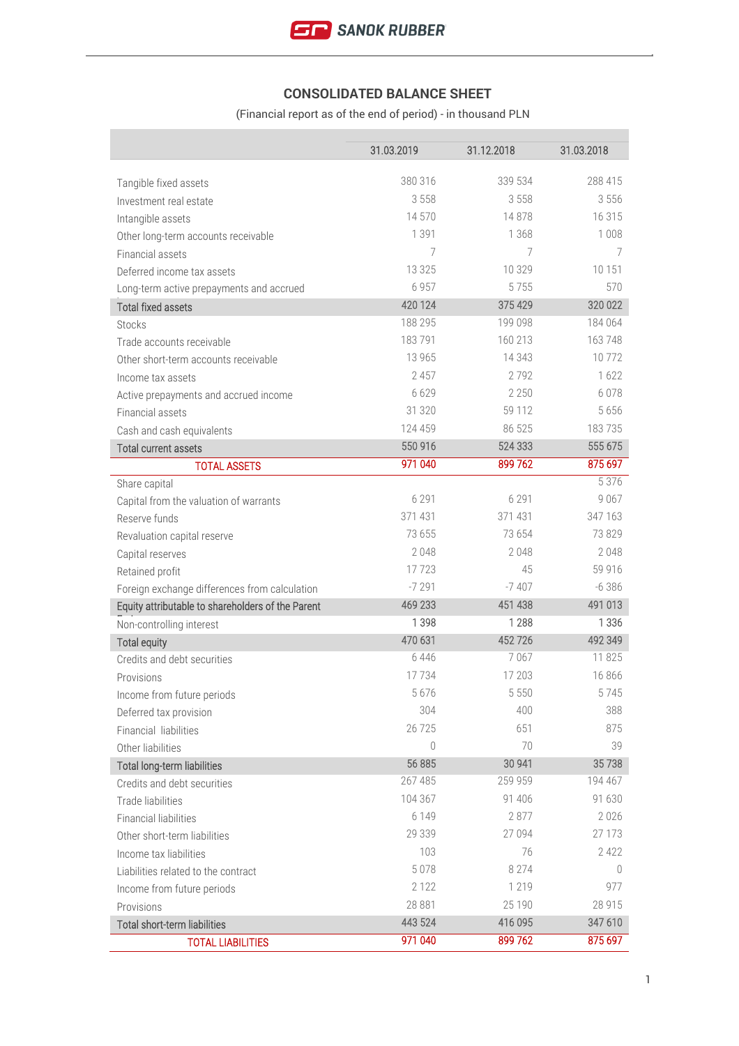# **CONSOLIDATED BALANCE SHEET**

(Financial report as of the end of period) - in thousand PLN

|                                                   | 31.03.2019         | 31.12.2018         | 31.03.2018         |
|---------------------------------------------------|--------------------|--------------------|--------------------|
|                                                   | 380 316            | 339 534            | 288 415            |
| Tangible fixed assets                             | 3558               | 3558               | 3556               |
| Investment real estate                            | 14 570             | 14878              | 16 315             |
| Intangible assets                                 |                    |                    |                    |
| Other long-term accounts receivable               | 1 3 9 1            | 1 3 6 8            | 1 0 0 8            |
| Financial assets                                  | 7                  | 7                  | 7                  |
| Deferred income tax assets                        | 13 3 2 5           | 10 329<br>5755     | 10 151             |
| Long-term active prepayments and accrued          | 6957               |                    | 570                |
| <b>Total fixed assets</b>                         | 420 124<br>188 295 | 375 429<br>199 098 | 320 022<br>184 064 |
| <b>Stocks</b>                                     | 183791             | 160 213            | 163748             |
| Trade accounts receivable                         |                    |                    | 10772              |
| Other short-term accounts receivable              | 13 9 65<br>2 4 5 7 | 14 3 4 3<br>2792   | 1622               |
| Income tax assets                                 |                    |                    |                    |
| Active prepayments and accrued income             | 6629               | 2 2 5 0            | 6078               |
| Financial assets                                  | 31 320             | 59 112             | 5 6 5 6            |
| Cash and cash equivalents                         | 124 459            | 86 525             | 183735             |
| <b>Total current assets</b>                       | 550 916            | 524 333            | 555 675            |
| <b>TOTAL ASSETS</b>                               | 971 040            | 899 762            | 875 697            |
| Share capital                                     |                    |                    | 5 3 7 6            |
| Capital from the valuation of warrants            | 6 2 9 1            | 6 2 9 1            | 9 0 6 7            |
| Reserve funds                                     | 371 431            | 371 431            | 347 163            |
| Revaluation capital reserve                       | 73 655             | 73 654             | 73829              |
| Capital reserves                                  | 2048               | 2048               | 2048               |
| Retained profit                                   | 17723              | 45                 | 59 916             |
| Foreign exchange differences from calculation     | $-7291$            | $-7407$            | $-6386$            |
| Equity attributable to shareholders of the Parent | 469 233            | 451 438            | 491 013            |
| Non-controlling interest                          | 1 3 9 8            | 1 2 8 8            | 1 3 3 6            |
| <b>Total equity</b>                               | 470 631            | 452726             | 492 349            |
| Credits and debt securities                       | 6446               | 7067               | 11 825             |
| Provisions                                        | 17734              | 17 203             | 16866              |
| Income from future periods                        | 5676               | 5 5 5 0            | 5745               |
| Deferred tax provision                            | 304                | 400                | 388                |
| Financial liabilities                             | 26 7 25            | 651                | 875                |
| Other liabilities                                 | 0                  | 70                 | 39                 |
| Total long-term liabilities                       | 56 885             | 30 941             | 35738              |
| Credits and debt securities                       | 267 485            | 259 959            | 194 467            |
| Trade liabilities                                 | 104 367            | 91 40 6            | 91 630             |
| <b>Financial liabilities</b>                      | 6 1 4 9            | 2877               | 2026               |
| Other short-term liabilities                      | 29 339             | 27 094             | 27 173             |
| Income tax liabilities                            | 103                | 76                 | 2 4 2 2            |
| Liabilities related to the contract               | 5078               | 8 2 7 4            | 0                  |
| Income from future periods                        | 2 1 2 2            | 1 2 1 9            | 977                |
| Provisions                                        | 28 881             | 25 190             | 28 915             |
| Total short-term liabilities                      | 443 524            | 416 095            | 347 610            |
| <b>TOTAL LIABILITIES</b>                          | 971 040            | 899762             | 875 697            |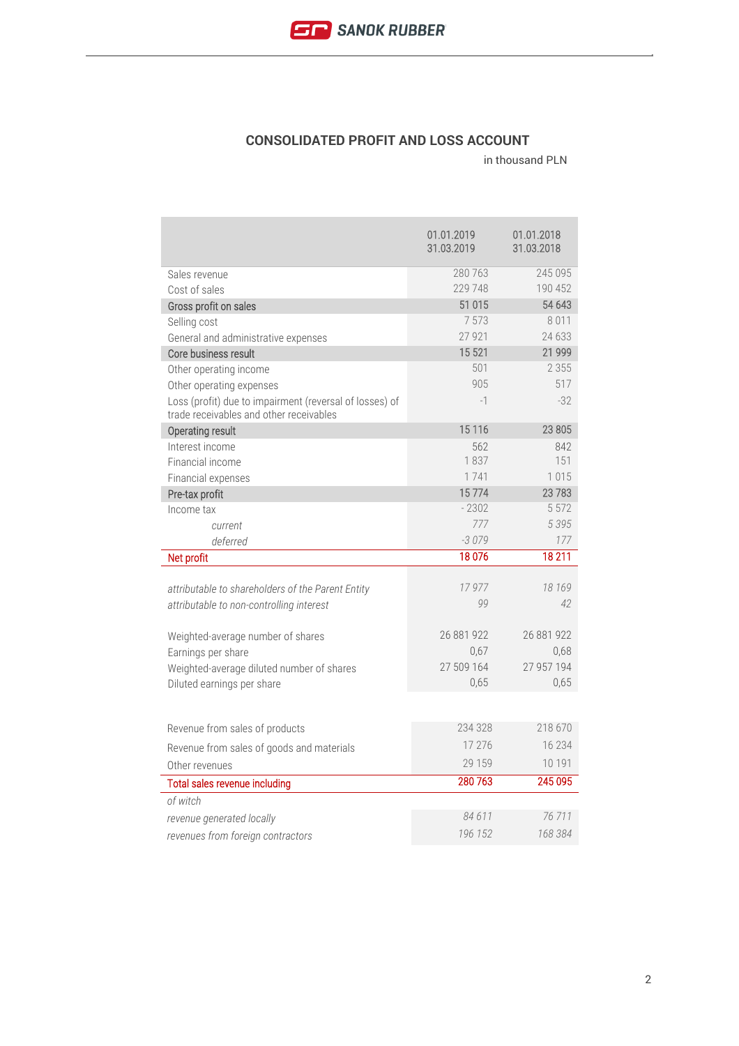

### **CONSOLIDATED PROFIT AND LOSS ACCOUNT**

|                                                                                                    | 01.01.2019<br>31.03.2019 | 01.01.2018<br>31.03.2018 |
|----------------------------------------------------------------------------------------------------|--------------------------|--------------------------|
| Sales revenue                                                                                      | 280 763                  | 245 095                  |
| Cost of sales                                                                                      | 229 748                  | 190 452                  |
| Gross profit on sales                                                                              | 51 015                   | 54 643                   |
| Selling cost                                                                                       | 7573                     | 8011                     |
| General and administrative expenses                                                                | 27 9 21                  | 24 633                   |
| Core business result                                                                               | 15 521                   | 21 999                   |
| Other operating income                                                                             | 501                      | 2 3 5 5                  |
| Other operating expenses                                                                           | 905                      | 517                      |
| Loss (profit) due to impairment (reversal of losses) of<br>trade receivables and other receivables | $-1$                     | $-32$                    |
| Operating result                                                                                   | 15 1 16                  | 23 805                   |
| Interest income                                                                                    | 562                      | 842                      |
| Financial income                                                                                   | 1837                     | 151                      |
| Financial expenses                                                                                 | 1741                     | 1015                     |
| Pre-tax profit                                                                                     | 15774                    | 23783                    |
| Income tax                                                                                         | $-2302$                  | 5 5 7 2                  |
| current                                                                                            | 777                      | 5395                     |
| deferred                                                                                           | $-3079$                  | 177                      |
| Net profit                                                                                         | 18076                    | 18 211                   |
|                                                                                                    |                          |                          |
| attributable to shareholders of the Parent Entity                                                  | 17977                    | 18 169<br>42             |
| attributable to non-controlling interest                                                           | 99                       |                          |
|                                                                                                    | 26 881 922               | 26 881 922               |
| Weighted-average number of shares                                                                  | 0,67                     | 0,68                     |
| Earnings per share<br>Weighted-average diluted number of shares                                    | 27 509 164               | 27 957 194               |
| Diluted earnings per share                                                                         | 0,65                     | 0,65                     |
|                                                                                                    |                          |                          |
|                                                                                                    |                          |                          |
| Revenue from sales of products                                                                     | 234 328                  | 218 670                  |
| Revenue from sales of goods and materials                                                          | 17 27 6                  | 16 234                   |
| Other revenues                                                                                     | 29 159                   | 10 191                   |
| Total sales revenue including                                                                      | 280 763                  | 245 095                  |
| of witch                                                                                           |                          |                          |
| revenue generated locally                                                                          |                          |                          |
|                                                                                                    | 84611                    | 76 711                   |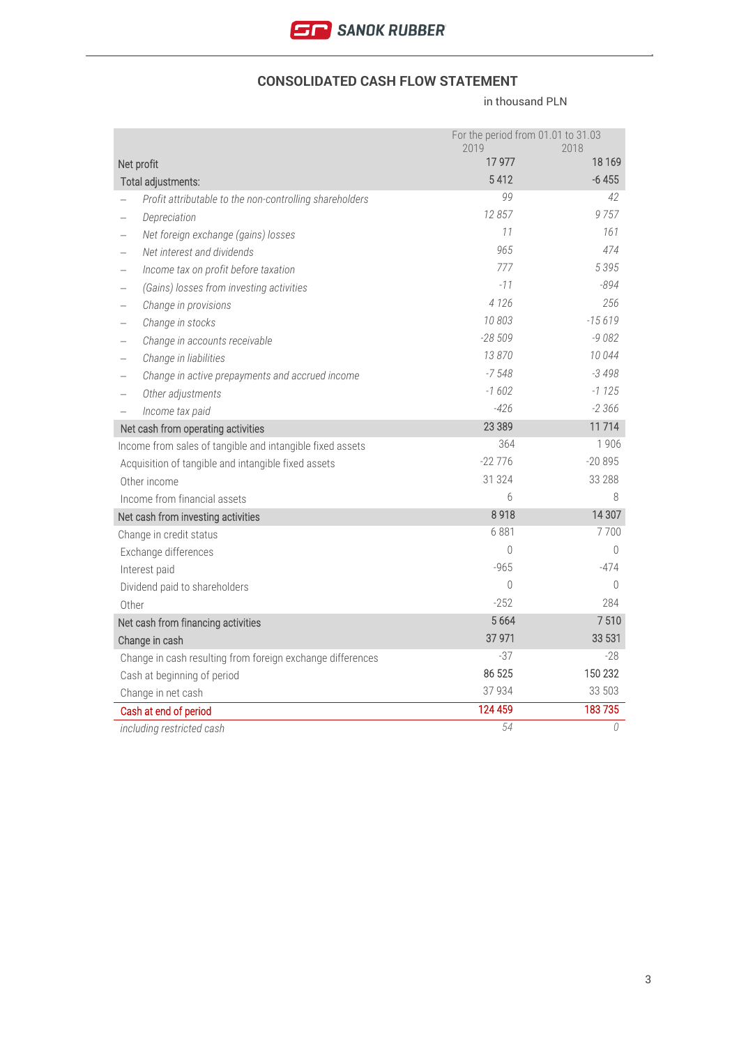

#### **CONSOLIDATED CASH FLOW STATEMENT**

|       |                                                            | For the period from 01.01 to 31.03<br>2019 | 2018     |
|-------|------------------------------------------------------------|--------------------------------------------|----------|
|       | Net profit                                                 | 17 977                                     | 18 16 9  |
|       | Total adjustments:                                         | 5412                                       | $-6455$  |
|       | Profit attributable to the non-controlling shareholders    | 99                                         | 42       |
|       | Depreciation                                               | 12 857                                     | 9757     |
|       | Net foreign exchange (gains) losses                        | 11                                         | 161      |
|       | Net interest and dividends                                 | 965                                        | 474      |
|       | Income tax on profit before taxation                       | 777                                        | 5395     |
|       | (Gains) losses from investing activities                   | $-11$                                      | $-894$   |
|       | Change in provisions                                       | 4 1 2 6                                    | 256      |
|       | Change in stocks                                           | 10803                                      | $-15619$ |
|       | Change in accounts receivable                              | $-28509$                                   | $-9082$  |
|       | Change in liabilities                                      | 13870                                      | 10 044   |
|       | Change in active prepayments and accrued income            | $-7548$                                    | $-3498$  |
|       | Other adjustments                                          | $-1602$                                    | $-1125$  |
|       | Income tax paid                                            | $-426$                                     | $-2366$  |
|       | Net cash from operating activities                         | 23 3 89                                    | 11714    |
|       | Income from sales of tangible and intangible fixed assets  | 364                                        | 1906     |
|       | Acquisition of tangible and intangible fixed assets        | $-22776$                                   | $-20895$ |
|       | Other income                                               | 31 324                                     | 33 288   |
|       | Income from financial assets                               | 6                                          | 8        |
|       | Net cash from investing activities                         | 8918                                       | 14 307   |
|       | Change in credit status                                    | 6881                                       | 7700     |
|       | Exchange differences                                       | $\Omega$                                   | 0        |
|       | Interest paid                                              | $-965$                                     | -474     |
|       | Dividend paid to shareholders                              | $\Omega$                                   | $\Omega$ |
| Other |                                                            | $-252$                                     | 284      |
|       | Net cash from financing activities                         | 5 6 6 4                                    | 7510     |
|       | Change in cash                                             | 37 971                                     | 33 531   |
|       | Change in cash resulting from foreign exchange differences | $-37$                                      | $-28$    |
|       | Cash at beginning of period                                | 86 525                                     | 150 232  |
|       | Change in net cash                                         | 37 934                                     | 33 503   |
|       | Cash at end of period                                      | 124 459                                    | 183735   |
|       | including restricted cash                                  | 54                                         | 0        |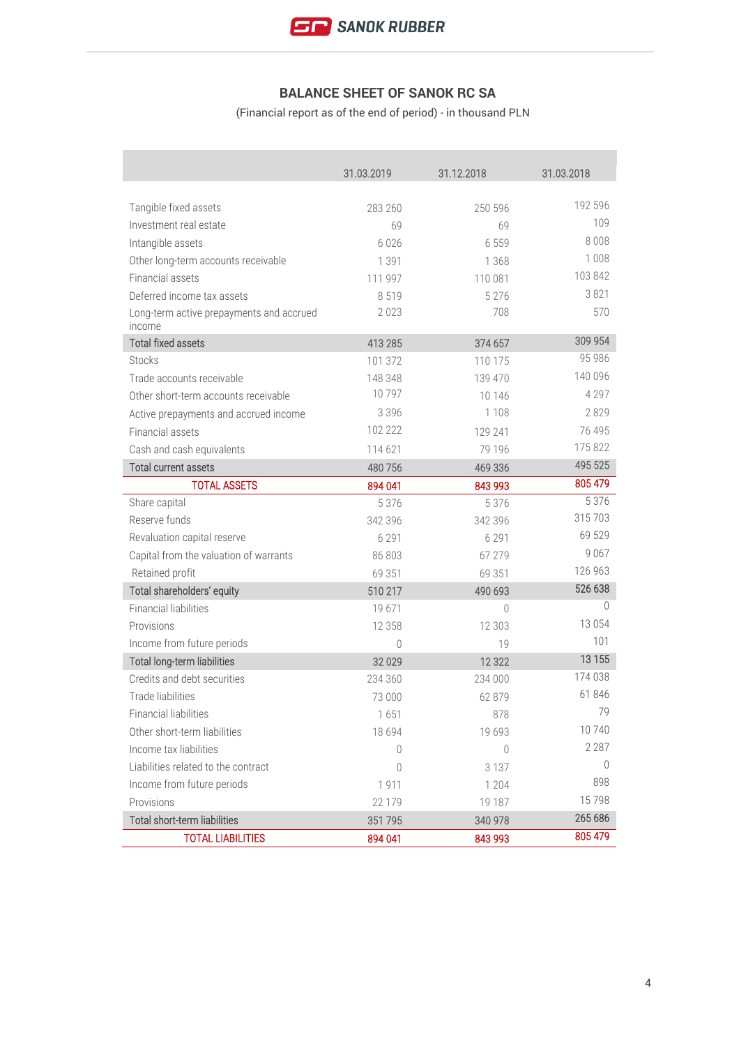## **BALANCE SHEET OF SANOK RC SA**

(Financial report as of the end of period) - in thousand PLN

|                                                    | 31.03.2019 | 31.12.2018       | 31.03.2018 |
|----------------------------------------------------|------------|------------------|------------|
|                                                    |            |                  |            |
| Tangible fixed assets                              | 283 260    | 250 596          | 192 596    |
| Investment real estate                             | 69         | 69               | 109        |
| Intangible assets                                  | 6026       | 6 5 5 9          | 8 0 0 8    |
| Other long-term accounts receivable                | 1 3 9 1    | 1 3 6 8          | 1 0 0 8    |
| Financial assets                                   | 111 997    | 110 081          | 103 842    |
| Deferred income tax assets                         | 8519       | 5 2 7 6          | 3 8 2 1    |
| Long-term active prepayments and accrued<br>income | 2023       | 708              | 570        |
| <b>Total fixed assets</b>                          | 413 285    | 374 657          | 309 954    |
| <b>Stocks</b>                                      | 101 372    | 110 175          | 95 986     |
| Trade accounts receivable                          | 148 348    | 139 470          | 140 096    |
| Other short-term accounts receivable               | 10797      | 10 14 6          | 4 2 9 7    |
| Active prepayments and accrued income              | 3 3 9 6    | 1 1 0 8          | 2829       |
| Financial assets                                   | 102 222    | 129 241          | 76 495     |
| Cash and cash equivalents                          | 114 621    | 79 196           | 175 822    |
| <b>Total current assets</b>                        | 480 756    | 469 336          | 495 525    |
| <b>TOTAL ASSETS</b>                                | 894 041    | 843 993          | 805 479    |
| Share capital                                      | 5 3 7 6    | 5 3 7 6          | 5 3 7 6    |
| Reserve funds                                      | 342 396    | 342 396          | 315 703    |
| Revaluation capital reserve                        | 6 2 9 1    | 6 2 9 1          | 69 529     |
| Capital from the valuation of warrants             | 86 803     | 67 279           | 9 0 6 7    |
| Retained profit                                    | 69 351     | 69 351           | 126 963    |
| Total shareholders' equity                         | 510 217    | 490 693          | 526 638    |
| <b>Financial liabilities</b>                       | 19671      | $\left( \right)$ | $\Omega$   |
| Provisions                                         | 12 3 5 8   | 12 303           | 13 0 54    |
| Income from future periods                         | $\bigcap$  | 19               | 101        |
| <b>Total long-term liabilities</b>                 | 32 0 29    | 12 3 22          | 13 1 55    |
| Credits and debt securities                        | 234 360    | 234 000          | 174 038    |
| <b>Trade liabilities</b>                           | 73 000     | 62 879           | 61 846     |
| Financial liabilities                              | 1651       | 878              | 79         |
| Other short-term liabilities                       | 18 6 9 4   | 19 693           | 10740      |
| Income tax liabilities                             | 0          | $\mathbf{0}$     | 2 2 8 7    |
| Liabilities related to the contract                | 0          | 3 1 3 7          | 0          |
| Income from future periods                         | 1911       | 1 2 0 4          | 898        |
| Provisions                                         | 22 179     | 19 187           | 15798      |
| Total short-term liabilities                       | 351 795    | 340 978          | 265 686    |
| <b>TOTAL LIABILITIES</b>                           | 894 041    | 843 993          | 805 479    |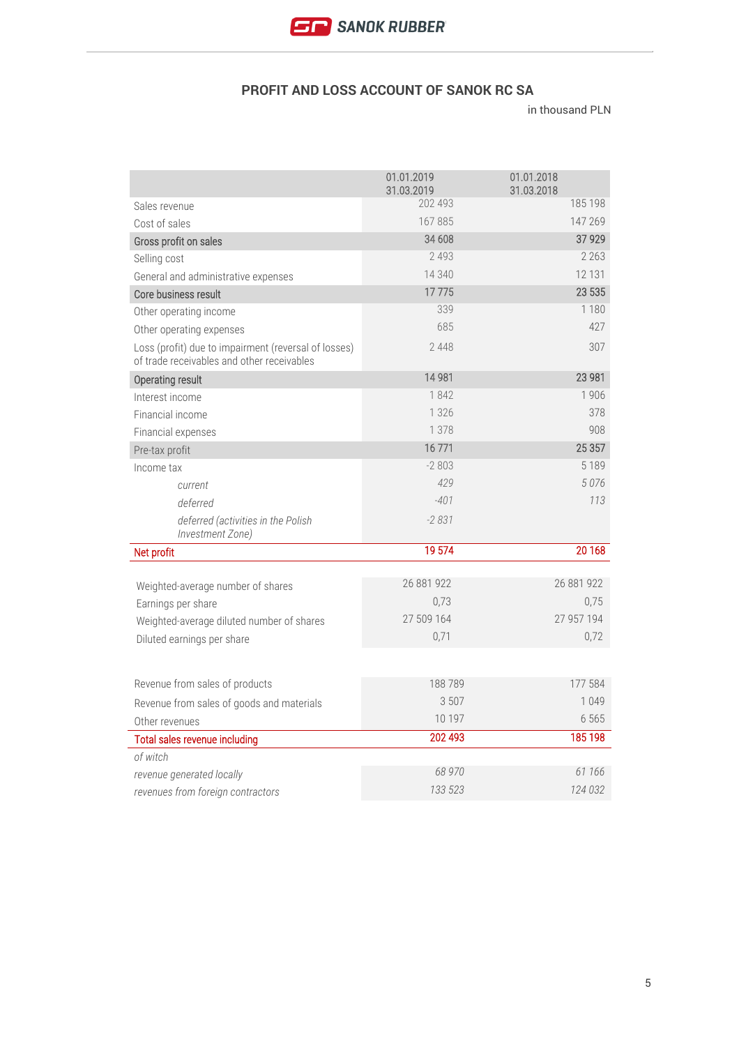### **PROFIT AND LOSS ACCOUNT OF SANOK RC SA**

|                                                                                                    | 01.01.2019<br>31.03.2019 | 01.01.2018<br>31.03.2018 |
|----------------------------------------------------------------------------------------------------|--------------------------|--------------------------|
| Sales revenue                                                                                      | 202 493                  | 185 198                  |
| Cost of sales                                                                                      | 167885                   | 147 269                  |
| Gross profit on sales                                                                              | 34 608                   | 37 9 29                  |
| Selling cost                                                                                       | 2 4 9 3                  | 2 2 6 3                  |
| General and administrative expenses                                                                | 14 340                   | 12 131                   |
| Core business result                                                                               | 17775                    | 23 535                   |
| Other operating income                                                                             | 339                      | 1 1 8 0                  |
| Other operating expenses                                                                           | 685                      | 427                      |
| Loss (profit) due to impairment (reversal of losses)<br>of trade receivables and other receivables | 2448                     | 307                      |
| Operating result                                                                                   | 14 981                   | 23 981                   |
| Interest income                                                                                    | 1842                     | 1906                     |
| Financial income                                                                                   | 1 3 2 6                  | 378                      |
| Financial expenses                                                                                 | 1 3 7 8                  | 908                      |
| Pre-tax profit                                                                                     | 16771                    | 25 357                   |
| Income tax                                                                                         | $-2803$                  | 5 1 8 9                  |
| current                                                                                            | 429                      | 5076                     |
| deferred                                                                                           | $-401$                   | 113                      |
| deferred (activities in the Polish<br>Investment Zone)                                             | $-2831$                  |                          |
| Net profit                                                                                         | 19 574                   | 20 168                   |
|                                                                                                    | 26 881 922               | 26 881 922               |
| Weighted-average number of shares                                                                  | 0,73                     | 0,75                     |
| Earnings per share                                                                                 | 27 509 164               | 27 957 194               |
| Weighted-average diluted number of shares                                                          | 0,71                     | 0,72                     |
| Diluted earnings per share                                                                         |                          |                          |
|                                                                                                    |                          |                          |
| Revenue from sales of products                                                                     | 188789                   | 177 584                  |
| Revenue from sales of goods and materials                                                          | 3 507                    | 1 0 4 9                  |
| Other revenues                                                                                     | 10 197                   | 6 5 6 5                  |
| Total sales revenue including                                                                      | 202 493                  | 185 198                  |
| of witch                                                                                           |                          |                          |
| revenue generated locally                                                                          | 68 970                   | 61 166                   |
| revenues from foreign contractors                                                                  | 133 523                  | 124 032                  |